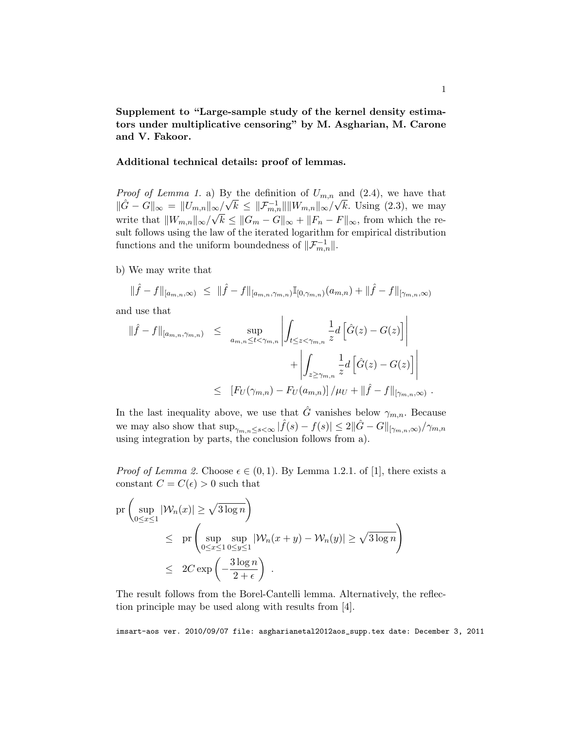Supplement to "Large-sample study of the kernel density estimators under multiplicative censoring" by M. Asgharian, M. Carone and V. Fakoor.

## Additional technical details: proof of lemmas.

*Proof of Lemma 1.* a) By the definition of  $U_{m,n}$  and (2.4), we have that *Froof of Lemma 1.* a) By the definition of  $U_{m,n}$ <br> $\|\hat{G} - G\|_{\infty} = \|U_{m,n}\|_{\infty}/\sqrt{k} \leq {\|\mathcal{F}_{m,n}^{-1}\| \|W_{m,n}\|_{\infty}}/{\sqrt{k}}$ √  $\infty/\sqrt{k} \leq {\|\mathcal{F}_{m,n}^{-1}\|}{\|W_{m,n}\|_{\infty}}/{\sqrt{k}}$ . Using (2.3), we may write that  $||W_{m,n}||_{\infty}/\sqrt{k} \leq ||G_m - G||_{\infty} + ||F_n - F||_{\infty}$ , from which the result follows using the law of the iterated logarithm for empirical distribution functions and the uniform boundedness of  $||\mathcal{F}_{m,n}^{-1}||$ .

b) We may write that

$$
\|\hat{f} - f\|_{[a_{m,n},\infty)} \leq \|\hat{f} - f\|_{[a_{m,n},\gamma_{m,n})} \mathbb{I}_{[0,\gamma_{m,n})}(a_{m,n}) + \|\hat{f} - f\|_{[\gamma_{m,n},\infty)}
$$

 $\overline{1}$ 

and use that

$$
\|\hat{f} - f\|_{[a_{m,n}, \gamma_{m,n})} \leq \sup_{a_{m,n} \leq t < \gamma_{m,n}} \left| \int_{t \leq z < \gamma_{m,n}} \frac{1}{z} d\left[\hat{G}(z) - G(z)\right] \right| + \left| \int_{z \geq \gamma_{m,n}} \frac{1}{z} d\left[\hat{G}(z) - G(z)\right] \right|
$$
  

$$
\leq \left[ F_U(\gamma_{m,n}) - F_U(a_{m,n}) \right] / \mu_U + \|\hat{f} - f\|_{[\gamma_{m,n}, \infty)}.
$$

In the last inequality above, we use that  $\hat{G}$  vanishes below  $\gamma_{m,n}$ . Because we may also show that  $\sup_{\gamma_{m,n}\leq s<\infty}|\hat{f}(s)-f(s)|\leq 2\|\hat{G}-G\|_{[\gamma_{m,n},\infty)}/\gamma_{m,n}$ using integration by parts, the conclusion follows from a).

*Proof of Lemma 2.* Choose  $\epsilon \in (0,1)$ . By Lemma 1.2.1. of [\[1\]](#page-6-0), there exists a constant  $C = C(\epsilon) > 0$  such that

$$
\begin{aligned} \operatorname{pr}\left(\sup_{0\leq x\leq 1} |\mathcal{W}_n(x)| \geq \sqrt{3\log n}\right) \\ &\leq \operatorname{pr}\left(\sup_{0\leq x\leq 1} \sup_{0\leq y\leq 1} |\mathcal{W}_n(x+y) - \mathcal{W}_n(y)| \geq \sqrt{3\log n}\right) \\ &\leq 2C \exp\left(-\frac{3\log n}{2+\epsilon}\right) \end{aligned}
$$

The result follows from the Borel-Cantelli lemma. Alternatively, the reflection principle may be used along with results from [\[4\]](#page-6-1).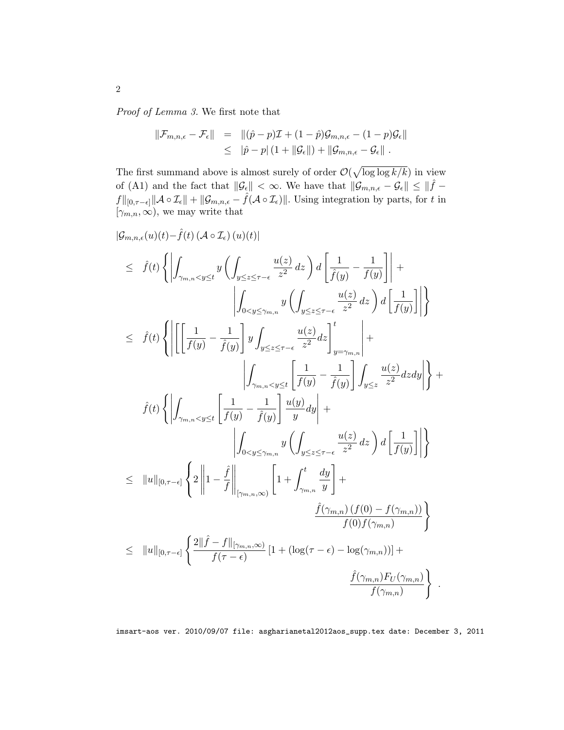Proof of Lemma 3. We first note that

$$
\begin{array}{rcl}\n\|\mathcal{F}_{m,n,\epsilon}-\mathcal{F}_{\epsilon}\| & = & \left\|(\hat{p}-p)\mathcal{I} + (1-\hat{p})\mathcal{G}_{m,n,\epsilon} - (1-p)\mathcal{G}_{\epsilon}\right\| \\
& \leq & |\hat{p}-p| \left(1 + \|\mathcal{G}_{\epsilon}\|\right) + \|\mathcal{G}_{m,n,\epsilon} - \mathcal{G}_{\epsilon}\| \,.\n\end{array}
$$

The first summand above is almost surely of order  $\mathcal{O}(\sqrt{\log \log k/k})$  in view of (A1) and the fact that  $\|\mathcal{G}_{\epsilon}\| < \infty$ . We have that  $\|\mathcal{G}_{m,n,\epsilon} - \mathcal{G}_{\epsilon}\| \leq \|\hat{f} - \hat{f}\|$  $f||_{[0,\tau-\epsilon]}||\mathcal{A}\circ \mathcal{I}_{\epsilon}|| + ||\mathcal{G}_{m,n,\epsilon} - \hat{f}(\mathcal{A}\circ \mathcal{I}_{\epsilon})||$ . Using integration by parts, for t in  $[\gamma_{m,n}, \infty)$ , we may write that

$$
|\mathcal{G}_{m,n,\epsilon}(u)(t)-\hat{f}(t)\left(\mathcal{A}\circ\mathcal{I}_{\epsilon}\right)(u)(t)|
$$
\n
$$
\leq \hat{f}(t)\left\{\left|\int_{\gamma_{m,n}\n
$$
\leq \hat{f}(t)\left\{\left|\left[\left[\frac{1}{f(y)}-\frac{1}{\hat{f}(y)}\right]y\int_{y\leq z\leq \tau-\epsilon}\frac{u(z)}{z^2}dz\right]_{y=\gamma_{m,n}}^{t}+\left|\int_{\gamma_{m,n}\n
$$
\leq ||u||_{[0,\tau-\epsilon]}\left\{2\left||1-\frac{\hat{f}}{f}\right||_{[\gamma_{m,n},\infty)}\left[1+\int_{\gamma_{m,n}}^{t}\frac{dy}{y}\right]+ \frac{\hat{f}(\gamma_{m,n})(f(0)-f(\gamma_{m,n}))}{f(0)f(\gamma_{m,n})}\right\}
$$
\n
$$
\leq ||u||_{[0,\tau-\epsilon]}\left\{\frac{2||\hat{f}-f||_{[\gamma_{m,n},\infty)}}{f(\tau-\epsilon)}\left[1+(\log(\tau-\epsilon)-\log(\gamma_{m,n}))\right]+\frac{\hat{f}(\gamma_{m,n})F_{U}(\gamma_{m,n})}{f(\gamma_{m,n})}\right\}.
$$
$$
$$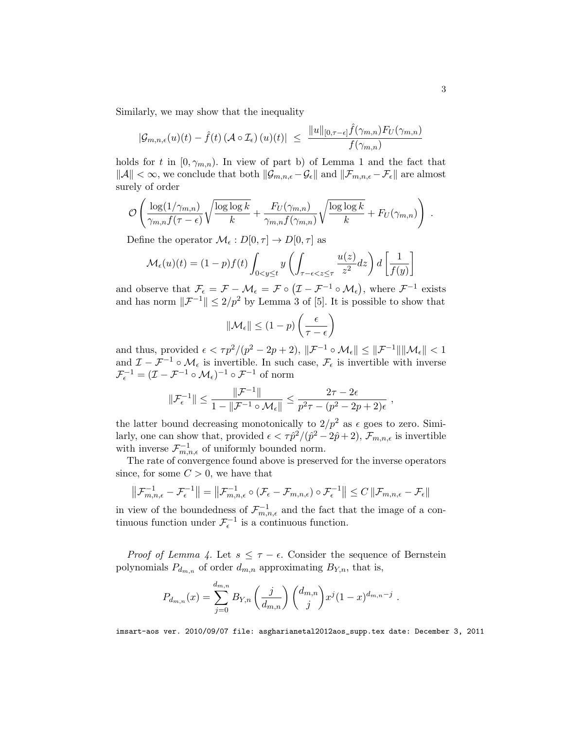Similarly, we may show that the inequality

$$
|\mathcal{G}_{m,n,\epsilon}(u)(t) - \hat{f}(t) (\mathcal{A} \circ \mathcal{I}_{\epsilon}) (u)(t)| \leq \frac{||u||_{[0,\tau-\epsilon]}\hat{f}(\gamma_{m,n})F_U(\gamma_{m,n})}{f(\gamma_{m,n})}
$$

holds for t in  $[0, \gamma_{m,n})$ . In view of part b) of Lemma 1 and the fact that  $\|\mathcal{A}\| < \infty$ , we conclude that both  $\|\mathcal{G}_{m,n,\epsilon} - \mathcal{G}_{\epsilon}\|$  and  $\|\mathcal{F}_{m,n,\epsilon} - \mathcal{F}_{\epsilon}\|$  are almost surely of order

$$
\mathcal{O}\left(\frac{\log(1/\gamma_{m,n})}{\gamma_{m,n}f(\tau-\epsilon)}\sqrt{\frac{\log\log k}{k}} + \frac{F_U(\gamma_{m,n})}{\gamma_{m,n}f(\gamma_{m,n})}\sqrt{\frac{\log\log k}{k}} + F_U(\gamma_{m,n})\right) .
$$

Define the operator  $\mathcal{M}_{\epsilon}: D[0, \tau] \to D[0, \tau]$  as

$$
\mathcal{M}_{\epsilon}(u)(t) = (1-p)f(t) \int_{0 < y \le t} y \left( \int_{\tau - \epsilon < z \le \tau} \frac{u(z)}{z^2} dz \right) d\left[ \frac{1}{f(y)} \right]
$$

and observe that  $\mathcal{F}_{\epsilon} = \mathcal{F} - \mathcal{M}_{\epsilon} = \mathcal{F} \circ (\mathcal{I} - \mathcal{F}^{-1} \circ \mathcal{M}_{\epsilon}),$  where  $\mathcal{F}^{-1}$  exists and has norm  $\|\mathcal{F}^{-1}\| \leq 2/p^2$  by Lemma 3 of [\[5\]](#page-6-2). It is possible to show that

$$
\|\mathcal{M}_{\epsilon}\| \le (1-p)\left(\frac{\epsilon}{\tau-\epsilon}\right)
$$

and thus, provided  $\epsilon < \tau p^2/(p^2 - 2p + 2)$ ,  $||\mathcal{F}^{-1} \circ \mathcal{M}_{\epsilon}|| \le ||\mathcal{F}^{-1}|| ||\mathcal{M}_{\epsilon}|| < 1$ and  $\mathcal{I} - \mathcal{F}^{-1} \circ \mathcal{M}_{\epsilon}$  is invertible. In such case,  $\mathcal{F}_{\epsilon}$  is invertible with inverse  $\mathcal{F}_{\epsilon}^{-1} = (\mathcal{I} - \mathcal{F}^{-1} \circ \mathcal{M}_{\epsilon})^{-1} \circ \mathcal{F}^{-1}$  of norm

$$
\|\mathcal{F}_{\epsilon}^{-1}\| \leq \frac{\|\mathcal{F}^{-1}\|}{1 - \|\mathcal{F}^{-1} \circ \mathcal{M}_{\epsilon}\|} \leq \frac{2\tau - 2\epsilon}{p^2\tau - (p^2 - 2p + 2)\epsilon} ,
$$

the latter bound decreasing monotonically to  $2/p^2$  as  $\epsilon$  goes to zero. Similarly, one can show that, provided  $\epsilon < \tau \hat{p}^2/(\hat{p}^2 - 2\hat{p} + 2)$ ,  $\mathcal{F}_{m,n,\epsilon}$  is invertible with inverse  $\mathcal{F}_{m,n,\epsilon}^{-1}$  of uniformly bounded norm.

The rate of convergence found above is preserved for the inverse operators since, for some  $C > 0$ , we have that

$$
\left\| \mathcal{F}_{m,n,\epsilon}^{-1} - \mathcal{F}_{\epsilon}^{-1} \right\| = \left\| \mathcal{F}_{m,n,\epsilon}^{-1} \circ (\mathcal{F}_{\epsilon} - \mathcal{F}_{m,n,\epsilon}) \circ \mathcal{F}_{\epsilon}^{-1} \right\| \leq C \left\| \mathcal{F}_{m,n,\epsilon} - \mathcal{F}_{\epsilon} \right\|
$$

in view of the boundedness of  $\mathcal{F}_{m,n,\epsilon}^{-1}$  and the fact that the image of a continuous function under  $\mathcal{F}_{\epsilon}^{-1}$  is a continuous function.

*Proof of Lemma 4.* Let  $s \leq \tau - \epsilon$ . Consider the sequence of Bernstein polynomials  $P_{d_{m,n}}$  of order  $d_{m,n}$  approximating  $B_{Y,n}$ , that is,

$$
P_{d_{m,n}}(x) = \sum_{j=0}^{d_{m,n}} B_{Y,n} \left( \frac{j}{d_{m,n}} \right) {d_{m,n} \choose j} x^j (1-x)^{d_{m,n}-j}.
$$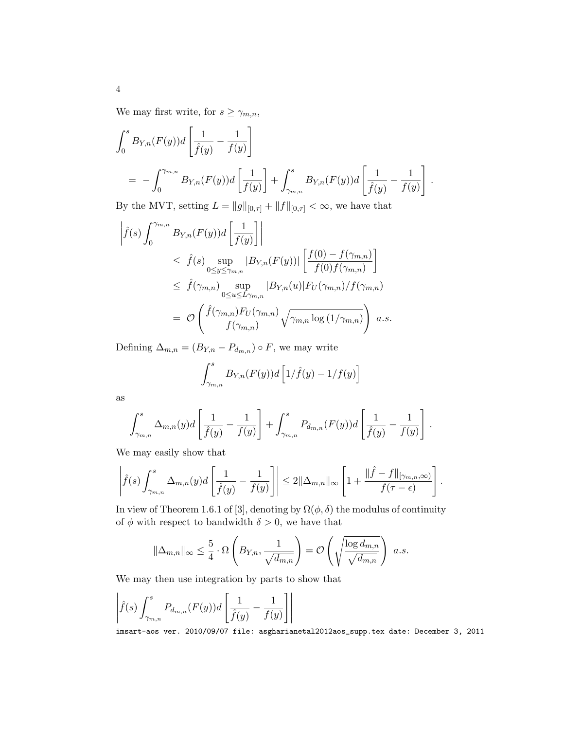We may first write, for  $s \geq \gamma_{m,n}$ ,

$$
\int_0^s B_{Y,n}(F(y))d\left[\frac{1}{\hat{f}(y)} - \frac{1}{f(y)}\right]
$$
  
=  $-\int_0^{\gamma_{m,n}} B_{Y,n}(F(y))d\left[\frac{1}{f(y)}\right] + \int_{\gamma_{m,n}}^s B_{Y,n}(F(y))d\left[\frac{1}{\hat{f}(y)} - \frac{1}{f(y)}\right].$ 

By the MVT, setting  $L = ||g||_{[0,\tau]} + ||f||_{[0,\tau]} < \infty$ , we have that

$$
\left| \hat{f}(s) \int_0^{\gamma_{m,n}} B_{Y,n}(F(y)) d\left[ \frac{1}{f(y)} \right] \right|
$$
  
\n
$$
\leq \hat{f}(s) \sup_{0 \leq y \leq \gamma_{m,n}} |B_{Y,n}(F(y))| \left[ \frac{f(0) - f(\gamma_{m,n})}{f(0) f(\gamma_{m,n})} \right]
$$
  
\n
$$
\leq \hat{f}(\gamma_{m,n}) \sup_{0 \leq u \leq L\gamma_{m,n}} |B_{Y,n}(u)| F_U(\gamma_{m,n}) / f(\gamma_{m,n})
$$
  
\n
$$
= \mathcal{O}\left( \frac{\hat{f}(\gamma_{m,n}) F_U(\gamma_{m,n})}{f(\gamma_{m,n})} \sqrt{\gamma_{m,n} \log(1/\gamma_{m,n})} \right) a.s.
$$

Defining  $\Delta_{m,n} = (B_{Y,n} - P_{d_{m,n}}) \circ F$ , we may write

$$
\int_{\gamma_{m,n}}^{s} B_{Y,n}(F(y))d\left[1/\hat{f}(y)-1/f(y)\right]
$$

as

$$
\int_{\gamma_{m,n}}^s \Delta_{m,n}(y) d\left[\frac{1}{\hat{f}(y)} - \frac{1}{f(y)}\right] + \int_{\gamma_{m,n}}^s P_{d_{m,n}}(F(y)) d\left[\frac{1}{\hat{f}(y)} - \frac{1}{f(y)}\right].
$$

We may easily show that

$$
\left|\widehat{f}(s)\int_{\gamma_{m,n}}^s \Delta_{m,n}(y)d\left[\frac{1}{\widehat{f}(y)}-\frac{1}{f(y)}\right]\right|\leq 2\|\Delta_{m,n}\|_{\infty}\left[1+\frac{\|\widehat{f}-f\|_{\left[\gamma_{m,n},\infty\right)}}{f(\tau-\epsilon)}\right].
$$

In view of Theorem 1.6.1 of [\[3\]](#page-6-3), denoting by  $\Omega(\phi, \delta)$  the modulus of continuity of  $\phi$  with respect to bandwidth  $\delta > 0$ , we have that

$$
\|\Delta_{m,n}\|_{\infty} \leq \frac{5}{4} \cdot \Omega\left(B_{Y,n}, \frac{1}{\sqrt{d_{m,n}}}\right) = \mathcal{O}\left(\sqrt{\frac{\log d_{m,n}}{\sqrt{d_{m,n}}}}\right) \ a.s.
$$

We may then use integration by parts to show that

$$
\left| \hat{f}(s) \int_{\gamma_{m,n}}^{s} P_{d_{m,n}}(F(y)) d \left[ \frac{1}{\hat{f}(y)} - \frac{1}{f(y)} \right] \right|
$$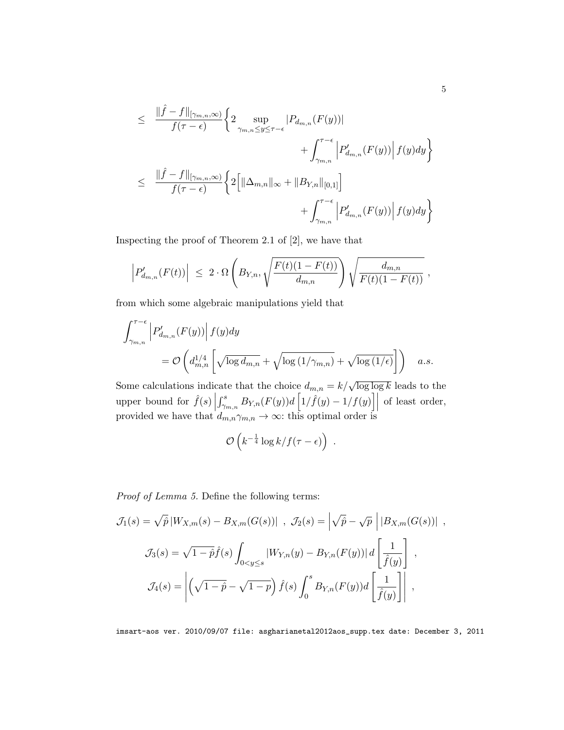$$
\leq \frac{\|\hat{f} - f\|_{\left[\gamma_{m,n},\infty\right)}}{f(\tau - \epsilon)} \Biggl\{ 2 \sup_{\gamma_{m,n} \leq y \leq \tau - \epsilon} |P_{d_{m,n}}(F(y))| + \int_{\gamma_{m,n}}^{\tau - \epsilon} \left| P'_{d_{m,n}}(F(y)) \right| f(y) dy \Biggr\}
$$
  

$$
\leq \frac{\|\hat{f} - f\|_{\left[\gamma_{m,n},\infty\right)}}{f(\tau - \epsilon)} \Biggl\{ 2 \Bigl[ \|\Delta_{m,n}\|_{\infty} + \|B_{Y,n}\|_{[0,1]} \Bigr] + \int_{\gamma_{m,n}}^{\tau - \epsilon} \left| P'_{d_{m,n}}(F(y)) \right| f(y) dy \Biggr\}
$$

Inspecting the proof of Theorem 2.1 of [\[2\]](#page-6-4), we have that

$$
\left| P'_{d_{m,n}}(F(t)) \right| \ \leq \ 2 \cdot \Omega \left( B_{Y,n}, \sqrt{\frac{F(t)(1-F(t))}{d_{m,n}}} \right) \sqrt{\frac{d_{m,n}}{F(t)(1-F(t))}} \ ,
$$

from which some algebraic manipulations yield that

$$
\int_{\gamma_{m,n}}^{\tau-\epsilon} \left| P'_{d_{m,n}}(F(y)) \right| f(y) dy
$$
  
=  $\mathcal{O}\left(d_{m,n}^{1/4} \left[ \sqrt{\log d_{m,n}} + \sqrt{\log (1/\gamma_{m,n})} + \sqrt{\log (1/\epsilon)} \right] \right)$  a.s.

Some calculations indicate that the choice  $d_{m,n} = k/\sqrt{\log \log k}$  leads to the upper bound for  $\hat{f}(s)$  $\int_{\gamma_{m,n}}^s B_{Y,n}(F(y))d\left[1/\hat{f}(y)-1/f(y)\right]$  of least order, provided we have that  $d_{m,n}\gamma_{m,n} \to \infty$ : this optimal order is

$$
\mathcal{O}\left(k^{-\frac{1}{4}}\log k/f(\tau-\epsilon)\right) .
$$

Proof of Lemma 5. Define the following terms:

$$
\mathcal{J}_1(s) = \sqrt{\hat{p}} \left| W_{X,m}(s) - B_{X,m}(G(s)) \right| , \quad \mathcal{J}_2(s) = \left| \sqrt{\hat{p}} - \sqrt{p} \right| \left| B_{X,m}(G(s)) \right| ,
$$

$$
\mathcal{J}_3(s) = \sqrt{1 - \hat{p}} \hat{f}(s) \int_{0 < y \le s} \left| W_{Y,n}(y) - B_{Y,n}(F(y)) \right| d \left[ \frac{1}{\hat{f}(y)} \right] ,
$$

$$
\mathcal{J}_4(s) = \left| \left( \sqrt{1 - \hat{p}} - \sqrt{1 - p} \right) \hat{f}(s) \int_0^s B_{Y,n}(F(y)) d \left[ \frac{1}{\hat{f}(y)} \right] \right| ,
$$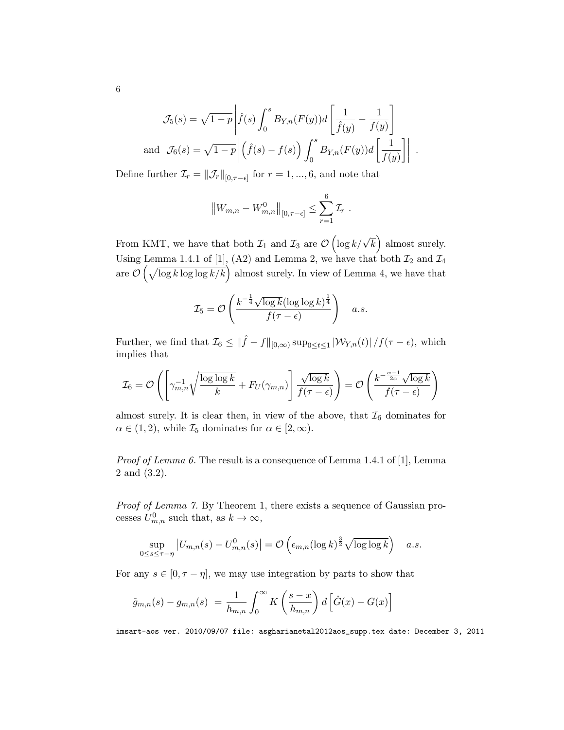$$
\mathcal{J}_5(s) = \sqrt{1-p} \left| \hat{f}(s) \int_0^s B_{Y,n}(F(y)) d\left[ \frac{1}{\hat{f}(y)} - \frac{1}{f(y)} \right] \right|
$$
  
and 
$$
\mathcal{J}_6(s) = \sqrt{1-p} \left| \left( \hat{f}(s) - f(s) \right) \int_0^s B_{Y,n}(F(y)) d\left[ \frac{1}{f(y)} \right] \right|.
$$

Define further  $\mathcal{I}_r = ||\mathcal{J}_r||_{[0,\tau-\epsilon]}$  for  $r = 1, ..., 6$ , and note that

$$
||W_{m,n} - W_{m,n}^{0}||_{[0,\tau-\epsilon]} \leq \sum_{r=1}^{6} \mathcal{I}_r.
$$

From KMT, we have that both  $\mathcal{I}_1$  and  $\mathcal{I}_3$  are  $\mathcal{O}(\log k/\sqrt{k})$  almost surely. Using Lemma 1.4.1 of [\[1\]](#page-6-0), (A2) and Lemma 2, we have that both  $\mathcal{I}_2$  and  $\mathcal{I}_4$ are  $\mathcal{O}\left(\sqrt{\log k \log \log k/k}\right)$  almost surely. In view of Lemma 4, we have that

$$
\mathcal{I}_5 = \mathcal{O}\left(\frac{k^{-\frac{1}{4}}\sqrt{\log k}(\log \log k)^{\frac{1}{4}}}{f(\tau - \epsilon)}\right) \quad a.s.
$$

Further, we find that  $\mathcal{I}_6 \leq ||\hat{f} - f||_{[0,\infty)} \sup_{0 \leq t \leq 1} |\mathcal{W}_{Y,n}(t)| / f(\tau - \epsilon)$ , which implies that

$$
\mathcal{I}_6 = \mathcal{O}\left(\left[\gamma_{m,n}^{-1}\sqrt{\frac{\log\log k}{k}} + F_U(\gamma_{m,n})\right]\frac{\sqrt{\log k}}{f(\tau - \epsilon)}\right) = \mathcal{O}\left(\frac{k^{-\frac{\alpha - 1}{2\alpha}}\sqrt{\log k}}{f(\tau - \epsilon)}\right)
$$

almost surely. It is clear then, in view of the above, that  $\mathcal{I}_6$  dominates for  $\alpha \in (1, 2)$ , while  $\mathcal{I}_5$  dominates for  $\alpha \in [2, \infty)$ .

Proof of Lemma 6. The result is a consequence of Lemma 1.4.1 of [\[1\]](#page-6-0), Lemma 2 and (3.2).

Proof of Lemma 7. By Theorem 1, there exists a sequence of Gaussian processes  $U_{m,n}^0$  such that, as  $k \to \infty$ ,

$$
\sup_{0\leq s\leq \tau-\eta} \left|U_{m,n}(s)-U_{m,n}^0(s)\right|=\mathcal{O}\left(\epsilon_{m,n}(\log k)^{\frac{3}{2}}\sqrt{\log\log k}\right) \quad a.s.
$$

For any  $s \in [0, \tau - \eta]$ , we may use integration by parts to show that

$$
\tilde{g}_{m,n}(s) - g_{m,n}(s) = \frac{1}{h_{m,n}} \int_0^\infty K\left(\frac{s-x}{h_{m,n}}\right) d\left[\hat{G}(x) - G(x)\right]
$$